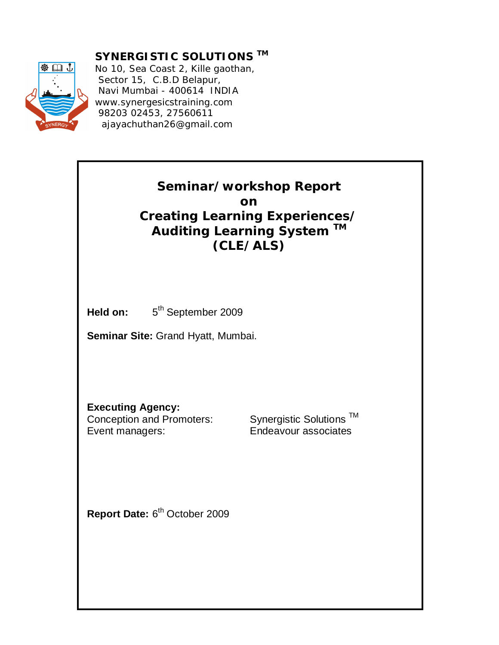

**SYNERGISTIC SOLUTIONS TM**

No 10, Sea Coast 2, Kille gaothan, Sector 15, C.B.D Belapur, Navi Mumbai - 400614 INDIA www.synergesicstraining.com 98203 02453, 27560611 ajayachuthan26@gmail.com

## **Seminar/workshop Report on Creating Learning Experiences/ Auditing Learning System TM (CLE/ALS)**

**Held on:** 5

5<sup>th</sup> September 2009

**Seminar Site:** Grand Hyatt, Mumbai.

**Executing Agency:**<br>Conception and Promoters:

Event managers: Endeavour associates

Synergistic Solutions ™

Report Date: 6<sup>th</sup> October 2009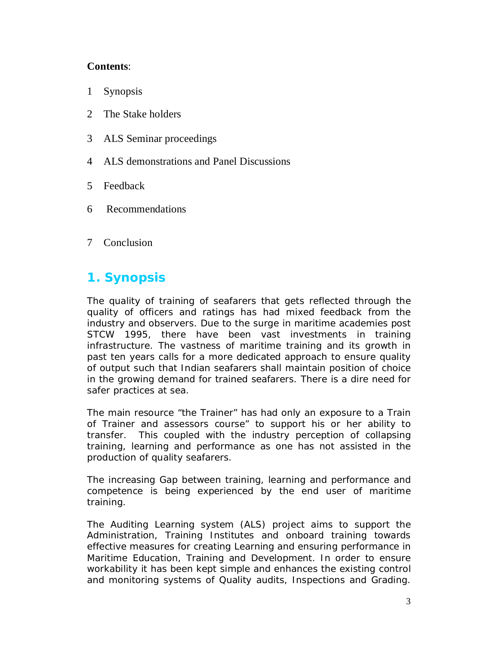#### **Contents**:

- 1 Synopsis
- 2 The Stake holders
- 3 ALS Seminar proceedings
- 4 ALS demonstrations and Panel Discussions
- 5 Feedback
- 6 Recommendations
- 7 Conclusion

# **1. Synopsis**

The quality of training of seafarers that gets reflected through the quality of officers and ratings has had mixed feedback from the industry and observers. Due to the surge in maritime academies post STCW 1995, there have been vast investments in training infrastructure. The vastness of maritime training and its growth in past ten years calls for a more dedicated approach to ensure quality of output such that Indian seafarers shall maintain position of choice in the growing demand for trained seafarers. There is a dire need for safer practices at sea.

The main resource "the Trainer" has had only an exposure to a Train of Trainer and assessors course" to support his or her ability to transfer. This coupled with the industry perception of collapsing training, learning and performance as one has not assisted in the production of quality seafarers.

The increasing Gap between training, learning and performance and competence is being experienced by the end user of maritime training.

The Auditing Learning system (ALS) project aims to support the Administration, Training Institutes and onboard training towards effective measures for creating Learning and ensuring performance in Maritime Education, Training and Development. In order to ensure workability it has been kept simple and enhances the existing control and monitoring systems of Quality audits, Inspections and Grading.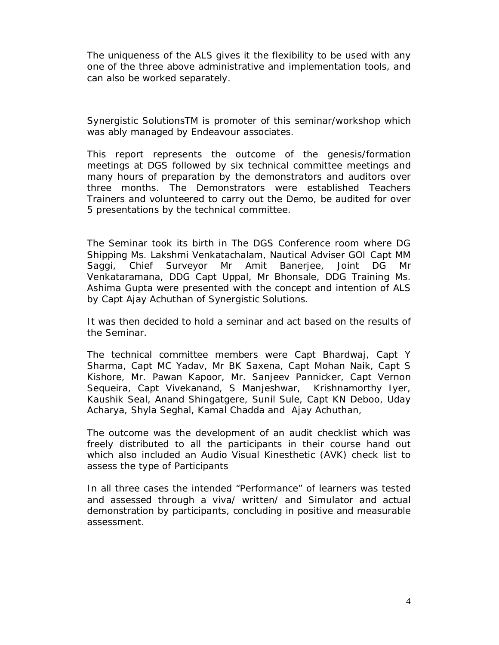The uniqueness of the ALS gives it the flexibility to be used with any one of the three above administrative and implementation tools, and can also be worked separately.

Synergistic SolutionsTM is promoter of this seminar/workshop which was ably managed by Endeavour associates.

This report represents the outcome of the genesis/formation meetings at DGS followed by six technical committee meetings and many hours of preparation by the demonstrators and auditors over three months. The Demonstrators were established Teachers Trainers and volunteered to carry out the Demo, be audited for over 5 presentations by the technical committee.

The Seminar took its birth in The DGS Conference room where DG Shipping Ms. Lakshmi Venkatachalam, Nautical Adviser GOI Capt MM Saggi, Chief Surveyor Mr Amit Banerjee, Joint DG Mr Venkataramana, DDG Capt Uppal, Mr Bhonsale, DDG Training Ms. Ashima Gupta were presented with the concept and intention of ALS by Capt Ajay Achuthan of Synergistic Solutions.

It was then decided to hold a seminar and act based on the results of the Seminar.

The technical committee members were Capt Bhardwaj, Capt Y Sharma, Capt MC Yadav, Mr BK Saxena, Capt Mohan Naik, Capt S Kishore, Mr. Pawan Kapoor, Mr. Sanjeev Pannicker, Capt Vernon Sequeira, Capt Vivekanand, S Manjeshwar, Krishnamorthy Iyer, Kaushik Seal, Anand Shingatgere, Sunil Sule, Capt KN Deboo, Uday Acharya, Shyla Seghal, Kamal Chadda and Ajay Achuthan,

The outcome was the development of an audit checklist which was freely distributed to all the participants in their course hand out which also included an Audio Visual Kinesthetic (AVK) check list to assess the type of Participants

In all three cases the intended "Performance" of learners was tested and assessed through a viva/ written/ and Simulator and actual demonstration by participants, concluding in positive and measurable assessment.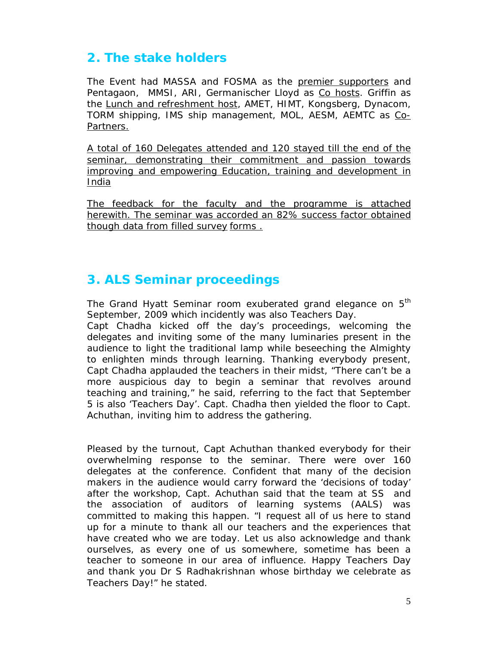# **2. The stake holders**

The Event had MASSA and FOSMA as the premier supporters and Pentagaon, MMSI, ARI, Germanischer Lloyd as Co hosts. Griffin as the Lunch and refreshment host, AMET, HIMT, Kongsberg, Dynacom, TORM shipping, IMS ship management, MOL, AESM, AEMTC as Co-Partners.

A total of 160 Delegates attended and 120 stayed till the end of the seminar, demonstrating their commitment and passion towards improving and empowering Education, training and development in India

The feedback for the faculty and the programme is attached herewith. The seminar was accorded an 82% success factor obtained though data from filled survey forms .

## **3. ALS Seminar proceedings**

The Grand Hyatt Seminar room exuberated grand elegance on 5<sup>th</sup> September, 2009 which incidently was also Teachers Day.

Capt Chadha kicked off the day's proceedings, welcoming the delegates and inviting some of the many luminaries present in the audience to light the traditional lamp while beseeching the Almighty to enlighten minds through learning. Thanking everybody present, Capt Chadha applauded the teachers in their midst, "There can't be a more auspicious day to begin a seminar that revolves around teaching and training," he said, referring to the fact that September 5 is also 'Teachers Day'. Capt. Chadha then yielded the floor to Capt. Achuthan, inviting him to address the gathering.

Pleased by the turnout, Capt Achuthan thanked everybody for their overwhelming response to the seminar. There were over 160 delegates at the conference. Confident that many of the decision makers in the audience would carry forward the 'decisions of today' after the workshop, Capt. Achuthan said that the team at SS and the association of auditors of learning systems (AALS) was committed to making this happen. "I request all of us here to stand up for a minute to thank all our teachers and the experiences that have created who we are today. Let us also acknowledge and thank ourselves, as every one of us somewhere, sometime has been a teacher to someone in our area of influence. Happy Teachers Day and thank you Dr S Radhakrishnan whose birthday we celebrate as Teachers Day!" he stated.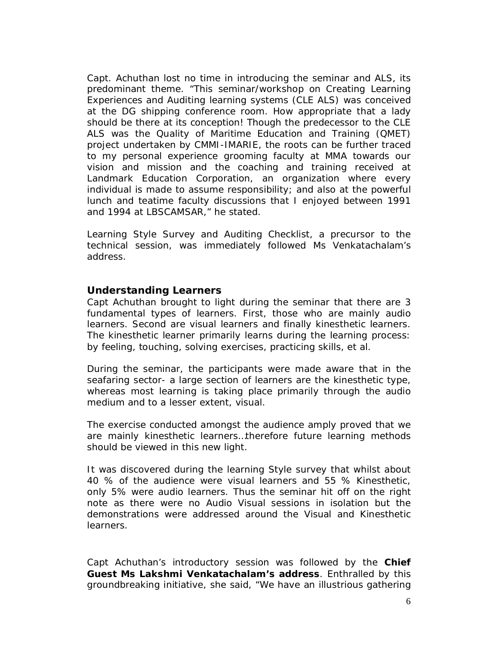Capt. Achuthan lost no time in introducing the seminar and ALS, its predominant theme. "This seminar/workshop on Creating Learning Experiences and Auditing learning systems (CLE ALS) was conceived at the DG shipping conference room. How appropriate that a lady should be there at its conception! Though the predecessor to the CLE ALS was the Quality of Maritime Education and Training (QMET) project undertaken by CMMI-IMARIE, the roots can be further traced to my personal experience grooming faculty at MMA towards our vision and mission and the coaching and training received at Landmark Education Corporation, an organization where every individual is made to assume responsibility; and also at the powerful lunch and teatime faculty discussions that I enjoyed between 1991 and 1994 at LBSCAMSAR," he stated.

Learning Style Survey and Auditing Checklist, a precursor to the technical session, was immediately followed Ms Venkatachalam's address.

#### **Understanding Learners**

Capt Achuthan brought to light during the seminar that there are 3 fundamental types of learners. First, those who are mainly audio learners. Second are visual learners and finally kinesthetic learners. The kinesthetic learner primarily learns during the learning process: by feeling, touching, solving exercises, practicing skills, et al.

During the seminar, the participants were made aware that in the seafaring sector- a large section of learners are the kinesthetic type, whereas most learning is taking place primarily through the audio medium and to a lesser extent, visual.

The exercise conducted amongst the audience amply proved that we are mainly kinesthetic learners…therefore future learning methods should be viewed in this new light.

It was discovered during the learning Style survey that whilst about 40 % of the audience were visual learners and 55 % Kinesthetic, only 5% were audio learners. Thus the seminar hit off on the right note as there were no Audio Visual sessions in isolation but the demonstrations were addressed around the Visual and Kinesthetic learners.

Capt Achuthan's introductory session was followed by the **Chief Guest Ms Lakshmi Venkatachalam's address**. Enthralled by this groundbreaking initiative, she said, "We have an illustrious gathering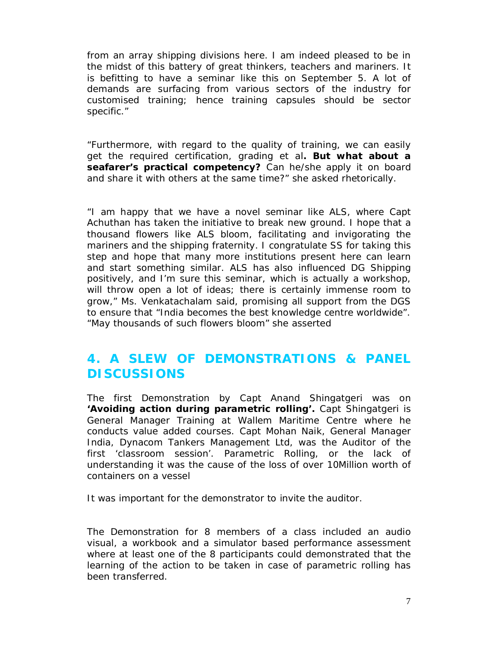from an array shipping divisions here. I am indeed pleased to be in the midst of this battery of great thinkers, teachers and mariners. It is befitting to have a seminar like this on September 5. A lot of demands are surfacing from various sectors of the industry for customised training; hence training capsules should be sector specific."

"Furthermore, with regard to the quality of training, we can easily get the required certification, grading et al**. But what about a seafarer's practical competency?** Can he/she apply it on board and share it with others at the same time?" she asked rhetorically.

"I am happy that we have a novel seminar like ALS, where Capt Achuthan has taken the initiative to break new ground. I hope that a thousand flowers like ALS bloom, facilitating and invigorating the mariners and the shipping fraternity. I congratulate SS for taking this step and hope that many more institutions present here can learn and start something similar. ALS has also influenced DG Shipping positively, and I'm sure this seminar, which is actually a workshop, will throw open a lot of ideas; there is certainly immense room to grow," Ms. Venkatachalam said, promising all support from the DGS to ensure that "India becomes the best knowledge centre worldwide". "May thousands of such flowers bloom" she asserted

### **4. A SLEW OF DEMONSTRATIONS & PANEL DISCUSSIONS**

The first Demonstration by Capt Anand Shingatgeri was on **'Avoiding action during parametric rolling'.** Capt Shingatgeri is General Manager Training at Wallem Maritime Centre where he conducts value added courses. Capt Mohan Naik, General Manager India, Dynacom Tankers Management Ltd, was the Auditor of the first 'classroom session'. Parametric Rolling, or the lack of understanding it was the cause of the loss of over 10Million worth of containers on a vessel

It was important for the demonstrator to invite the auditor.

The Demonstration for 8 members of a class included an audio visual, a workbook and a simulator based performance assessment where at least one of the 8 participants could demonstrated that the learning of the action to be taken in case of parametric rolling has been transferred.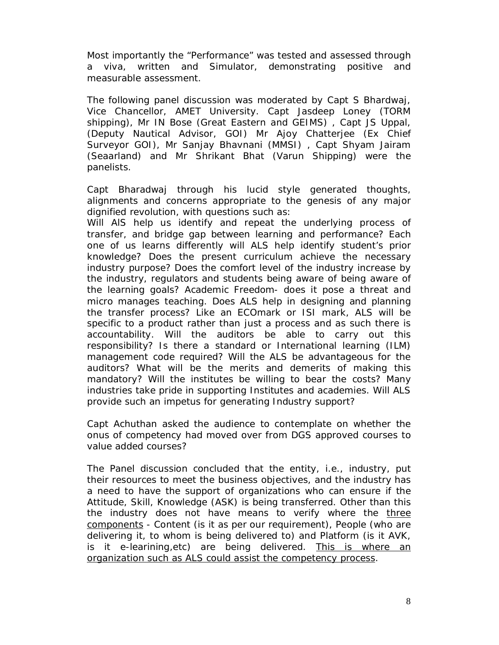Most importantly the "Performance" was tested and assessed through a viva, written and Simulator, demonstrating positive and measurable assessment.

The following panel discussion was moderated by Capt S Bhardwaj, Vice Chancellor, AMET University. Capt Jasdeep Loney (TORM shipping), Mr IN Bose (Great Eastern and GEIMS) , Capt JS Uppal, (Deputy Nautical Advisor, GOI) Mr Ajoy Chatterjee (Ex Chief Surveyor GOI), Mr Sanjay Bhavnani (MMSI) , Capt Shyam Jairam (Seaarland) and Mr Shrikant Bhat (Varun Shipping) were the panelists.

Capt Bharadwaj through his lucid style generated thoughts, alignments and concerns appropriate to the genesis of any major dignified revolution, with questions such as:

Will AlS help us identify and repeat the underlying process of transfer, and bridge gap between learning and performance? Each one of us learns differently will ALS help identify student's prior knowledge? Does the present curriculum achieve the necessary industry purpose? Does the comfort level of the industry increase by the industry, regulators and students being aware of being aware of the learning goals? Academic Freedom- does it pose a threat and micro manages teaching. Does ALS help in designing and planning the transfer process? Like an ECOmark or ISI mark, ALS will be specific to a product rather than just a process and as such there is accountability. Will the auditors be able to carry out this responsibility? Is there a standard or International learning (ILM) management code required? Will the ALS be advantageous for the auditors? What will be the merits and demerits of making this mandatory? Will the institutes be willing to bear the costs? Many industries take pride in supporting Institutes and academies. Will ALS provide such an impetus for generating Industry support?

Capt Achuthan asked the audience to contemplate on whether the onus of competency had moved over from DGS approved courses to value added courses?

The Panel discussion concluded that the entity, i.e., industry, put their resources to meet the business objectives, and the industry has a need to have the support of organizations who can ensure if the Attitude, Skill, Knowledge (ASK) is being transferred. Other than this the industry does not have means to verify where the three components - Content (is it as per our requirement), People (who are delivering it, to whom is being delivered to) and Platform (is it AVK, is it e-learining, etc) are being delivered. This is where an organization such as ALS could assist the competency process.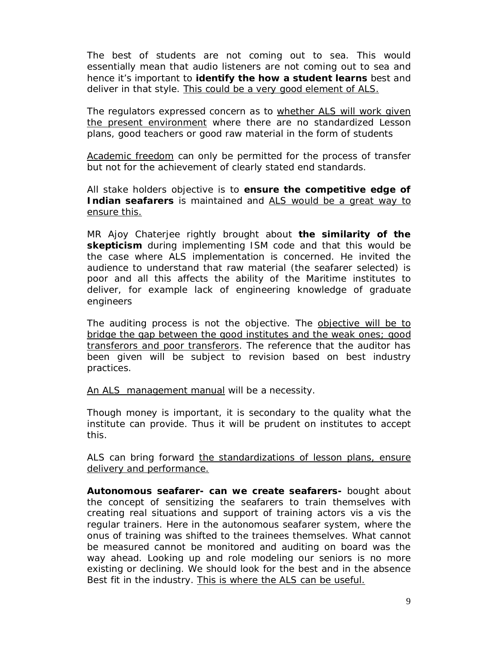The best of students are not coming out to sea. This would essentially mean that audio listeners are not coming out to sea and hence it's important to **identify the how a student learns** best and deliver in that style. This could be a very good element of ALS.

The regulators expressed concern as to whether ALS will work given the present environment where there are no standardized Lesson plans, good teachers or good raw material in the form of students

Academic freedom can only be permitted for the process of transfer but not for the achievement of clearly stated end standards.

All stake holders objective is to **ensure the competitive edge of Indian seafarers** is maintained and ALS would be a great way to ensure this.

MR Ajoy Chaterjee rightly brought about **the similarity of the skepticism** during implementing ISM code and that this would be the case where ALS implementation is concerned. He invited the audience to understand that raw material (the seafarer selected) is poor and all this affects the ability of the Maritime institutes to deliver, for example lack of engineering knowledge of graduate engineers

The auditing process is not the objective. The objective will be to bridge the gap between the good institutes and the weak ones; good transferors and poor transferors. The reference that the auditor has been given will be subject to revision based on best industry practices.

An ALS management manual will be a necessity.

Though money is important, it is secondary to the quality what the institute can provide. Thus it will be prudent on institutes to accept this.

ALS can bring forward the standardizations of lesson plans, ensure delivery and performance.

**Autonomous seafarer- can we create seafarers-** bought about the concept of sensitizing the seafarers to train themselves with creating real situations and support of training actors vis a vis the regular trainers. Here in the autonomous seafarer system, where the onus of training was shifted to the trainees themselves. What cannot be measured cannot be monitored and auditing on board was the way ahead. Looking up and role modeling our seniors is no more existing or declining. We should look for the best and in the absence Best fit in the industry. This is where the ALS can be useful.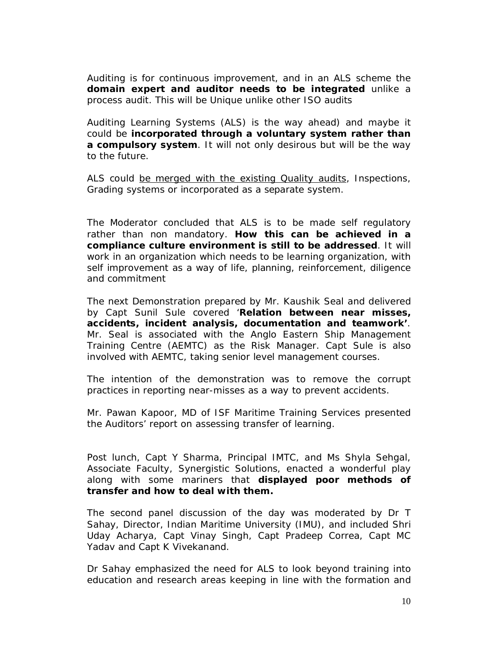Auditing is for continuous improvement, and in an ALS scheme the **domain expert and auditor needs to be integrated** unlike a process audit. This will be Unique unlike other ISO audits

Auditing Learning Systems (ALS) is the way ahead) and maybe it could be **incorporated through a voluntary system rather than a compulsory system**. It will not only desirous but will be the way to the future.

ALS could be merged with the existing Quality audits, Inspections, Grading systems or incorporated as a separate system.

The Moderator concluded that ALS is to be made self regulatory rather than non mandatory. **How this can be achieved in a compliance culture environment is still to be addressed**. It will work in an organization which needs to be learning organization, with self improvement as a way of life, planning, reinforcement, diligence and commitment

The next Demonstration prepared by Mr. Kaushik Seal and delivered by Capt Sunil Sule covered '**Relation between near misses, accidents, incident analysis, documentation and teamwork'**. Mr. Seal is associated with the Anglo Eastern Ship Management Training Centre (AEMTC) as the Risk Manager. Capt Sule is also involved with AEMTC, taking senior level management courses.

The intention of the demonstration was to remove the corrupt practices in reporting near-misses as a way to prevent accidents.

Mr. Pawan Kapoor, MD of ISF Maritime Training Services presented the Auditors' report on assessing transfer of learning.

Post lunch, Capt Y Sharma, Principal IMTC, and Ms Shyla Sehgal, Associate Faculty, Synergistic Solutions, enacted a wonderful play along with some mariners that **displayed poor methods of transfer and how to deal with them.** 

The second panel discussion of the day was moderated by Dr T Sahay, Director, Indian Maritime University (IMU), and included Shri Uday Acharya, Capt Vinay Singh, Capt Pradeep Correa, Capt MC Yadav and Capt K Vivekanand.

Dr Sahay emphasized the need for ALS to look beyond training into education and research areas keeping in line with the formation and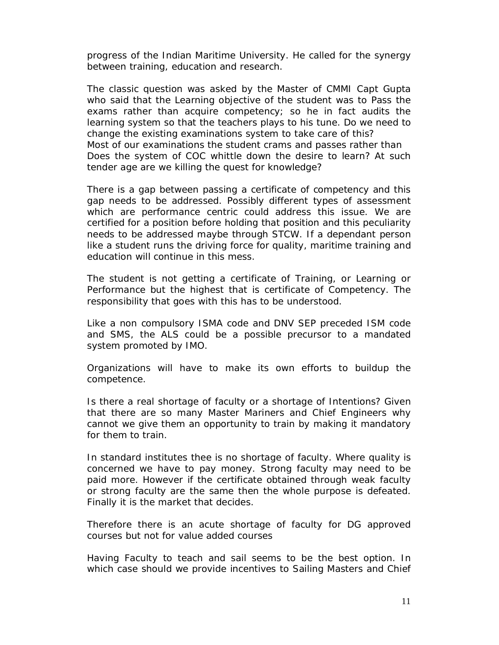progress of the Indian Maritime University. He called for the synergy between training, education and research.

The classic question was asked by the Master of CMMI Capt Gupta who said that the Learning objective of the student was to Pass the exams rather than acquire competency; so he in fact audits the learning system so that the teachers plays to his tune. Do we need to change the existing examinations system to take care of this? Most of our examinations the student crams and passes rather than Does the system of COC whittle down the desire to learn? At such tender age are we killing the quest for knowledge?

There is a gap between passing a certificate of competency and this gap needs to be addressed. Possibly different types of assessment which are performance centric could address this issue. We are certified for a position before holding that position and this peculiarity needs to be addressed maybe through STCW. If a dependant person like a student runs the driving force for quality, maritime training and education will continue in this mess.

The student is not getting a certificate of Training, or Learning or Performance but the highest that is certificate of Competency. The responsibility that goes with this has to be understood.

Like a non compulsory ISMA code and DNV SEP preceded ISM code and SMS, the ALS could be a possible precursor to a mandated system promoted by IMO.

Organizations will have to make its own efforts to buildup the competence.

Is there a real shortage of faculty or a shortage of Intentions? Given that there are so many Master Mariners and Chief Engineers why cannot we give them an opportunity to train by making it mandatory for them to train.

In standard institutes thee is no shortage of faculty. Where quality is concerned we have to pay money. Strong faculty may need to be paid more. However if the certificate obtained through weak faculty or strong faculty are the same then the whole purpose is defeated. Finally it is the market that decides.

Therefore there is an acute shortage of faculty for DG approved courses but not for value added courses

Having Faculty to teach and sail seems to be the best option. In which case should we provide incentives to Sailing Masters and Chief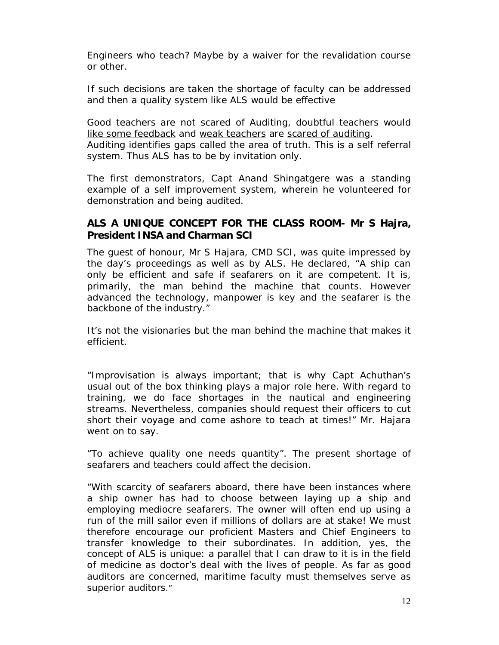Engineers who teach? Maybe by a waiver for the revalidation course or other.

If such decisions are taken the shortage of faculty can be addressed and then a quality system like ALS would be effective

Good teachers are not scared of Auditing, doubtful teachers would like some feedback and weak teachers are scared of auditing. Auditing identifies gaps called the area of truth. This is a self referral system. Thus ALS has to be by invitation only.

The first demonstrators, Capt Anand Shingatgere was a standing example of a self improvement system, wherein he volunteered for demonstration and being audited.

#### **ALS A UNIQUE CONCEPT FOR THE CLASS ROOM- Mr S Hajra, President INSA and Charman SCI**

The guest of honour, Mr S Hajara, CMD SCI, was quite impressed by the day's proceedings as well as by ALS. He declared, "A ship can only be efficient and safe if seafarers on it are competent. It is, primarily, the man behind the machine that counts. However advanced the technology, manpower is key and the seafarer is the backbone of the industry."

It's not the visionaries but the man behind the machine that makes it efficient.

"Improvisation is always important; that is why Capt Achuthan's usual out of the box thinking plays a major role here. With regard to training, we do face shortages in the nautical and engineering streams. Nevertheless, companies should request their officers to cut short their voyage and come ashore to teach at times!" Mr. Hajara went on to say.

"To achieve quality one needs quantity". The present shortage of seafarers and teachers could affect the decision.

"With scarcity of seafarers aboard, there have been instances where a ship owner has had to choose between laying up a ship and employing mediocre seafarers. The owner will often end up using a run of the mill sailor even if millions of dollars are at stake! We must therefore encourage our proficient Masters and Chief Engineers to transfer knowledge to their subordinates. In addition, yes, the concept of ALS is unique: a parallel that I can draw to it is in the field of medicine as doctor's deal with the lives of people. As far as good auditors are concerned, maritime faculty must themselves serve as superior auditors."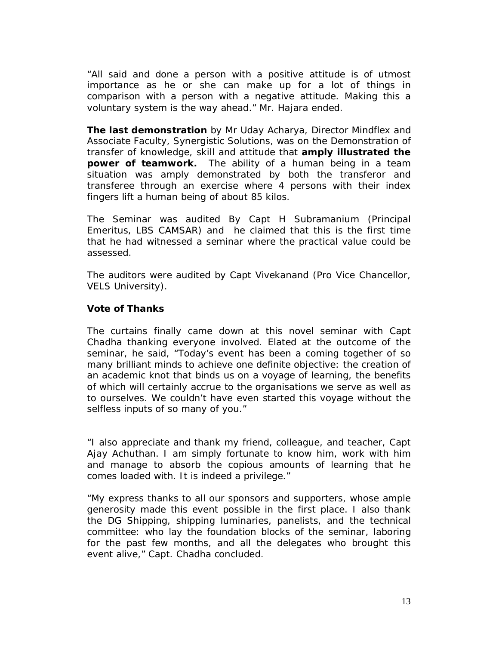"All said and done a person with a positive attitude is of utmost importance as he or she can make up for a lot of things in comparison with a person with a negative attitude. Making this a voluntary system is the way ahead." Mr. Hajara ended.

**The last demonstration** by Mr Uday Acharya, Director Mindflex and Associate Faculty, Synergistic Solutions, was on the Demonstration of transfer of knowledge, skill and attitude that **amply illustrated the power of teamwork.** The ability of a human being in a team situation was amply demonstrated by both the transferor and transferee through an exercise where 4 persons with their index fingers lift a human being of about 85 kilos.

The Seminar was audited By Capt H Subramanium (Principal Emeritus, LBS CAMSAR) and he claimed that this is the first time that he had witnessed a seminar where the practical value could be assessed.

The auditors were audited by Capt Vivekanand (Pro Vice Chancellor, VELS University).

#### **Vote of Thanks**

The curtains finally came down at this novel seminar with Capt Chadha thanking everyone involved. Elated at the outcome of the seminar, he said, "Today's event has been a coming together of so many brilliant minds to achieve one definite objective: the creation of an academic knot that binds us on a voyage of learning, the benefits of which will certainly accrue to the organisations we serve as well as to ourselves. We couldn't have even started this voyage without the selfless inputs of so many of you."

"I also appreciate and thank my friend, colleague, and teacher, Capt Ajay Achuthan. I am simply fortunate to know him, work with him and manage to absorb the copious amounts of learning that he comes loaded with. It is indeed a privilege."

"My express thanks to all our sponsors and supporters, whose ample generosity made this event possible in the first place. I also thank the DG Shipping, shipping luminaries, panelists, and the technical committee: who lay the foundation blocks of the seminar, laboring for the past few months, and all the delegates who brought this event alive," Capt. Chadha concluded.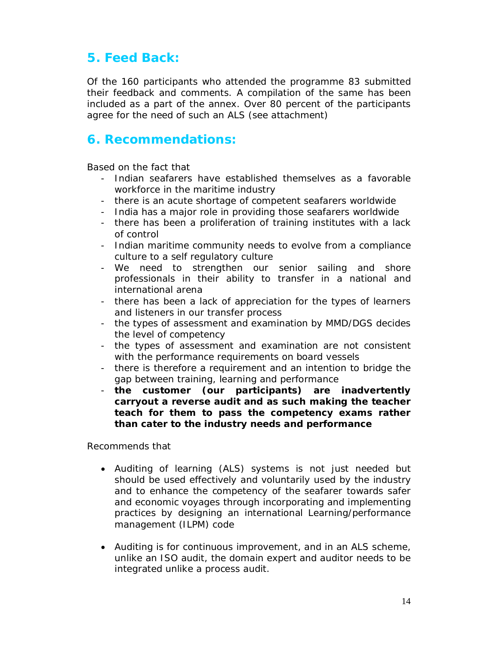## **5. Feed Back:**

Of the 160 participants who attended the programme 83 submitted their feedback and comments. A compilation of the same has been included as a part of the annex. Over 80 percent of the participants agree for the need of such an ALS (see attachment)

### **6. Recommendations:**

Based on the fact that

- Indian seafarers have established themselves as a favorable workforce in the maritime industry
- there is an acute shortage of competent seafarers worldwide
- India has a major role in providing those seafarers worldwide
- there has been a proliferation of training institutes with a lack of control
- Indian maritime community needs to evolve from a compliance culture to a self regulatory culture
- We need to strengthen our senior sailing and shore professionals in their ability to transfer in a national and international arena
- there has been a lack of appreciation for the types of learners and listeners in our transfer process
- the types of assessment and examination by MMD/DGS decides the level of competency
- the types of assessment and examination are not consistent with the performance requirements on board vessels
- there is therefore a requirement and an intention to bridge the gap between training, learning and performance
- **the customer (our participants) are inadvertently carryout a reverse audit and as such making the teacher teach for them to pass the competency exams rather than cater to the industry needs and performance**

Recommends that

- Auditing of learning (ALS) systems is not just needed but should be used effectively and voluntarily used by the industry and to enhance the competency of the seafarer towards safer and economic voyages through incorporating and implementing practices by designing an international Learning/performance management (ILPM) code
- Auditing is for continuous improvement, and in an ALS scheme, unlike an ISO audit, the domain expert and auditor needs to be integrated unlike a process audit.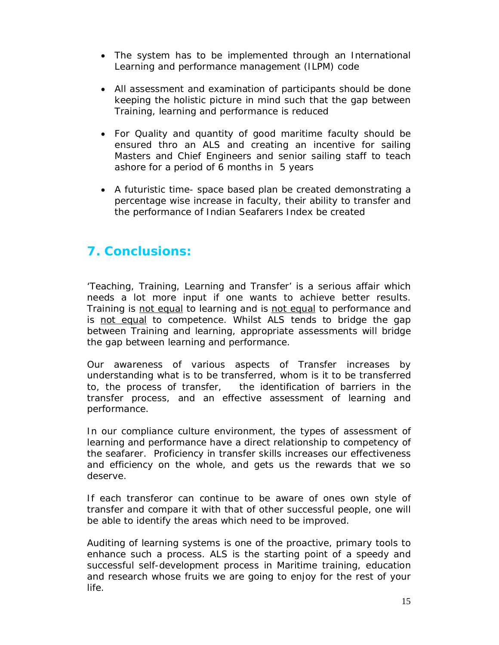- The system has to be implemented through an International Learning and performance management (ILPM) code
- All assessment and examination of participants should be done keeping the holistic picture in mind such that the gap between Training, learning and performance is reduced
- For Quality and quantity of good maritime faculty should be ensured thro an ALS and creating an incentive for sailing Masters and Chief Engineers and senior sailing staff to teach ashore for a period of 6 months in 5 years
- A futuristic time- space based plan be created demonstrating a percentage wise increase in faculty, their ability to transfer and the performance of Indian Seafarers Index be created

## **7. Conclusions:**

'Teaching, Training, Learning and Transfer' is a serious affair which needs a lot more input if one wants to achieve better results. Training is not equal to learning and is not equal to performance and is not equal to competence. Whilst ALS tends to bridge the gap between Training and learning, appropriate assessments will bridge the gap between learning and performance.

Our awareness of various aspects of Transfer increases by understanding what is to be transferred, whom is it to be transferred to, the process of transfer, the identification of barriers in the transfer process, and an effective assessment of learning and performance.

In our compliance culture environment, the types of assessment of learning and performance have a direct relationship to competency of the seafarer. Proficiency in transfer skills increases our effectiveness and efficiency on the whole, and gets us the rewards that we so deserve.

If each transferor can continue to be aware of ones own style of transfer and compare it with that of other successful people, one will be able to identify the areas which need to be improved.

Auditing of learning systems is one of the proactive, primary tools to enhance such a process. ALS is the starting point of a speedy and successful self-development process in Maritime training, education and research whose fruits we are going to enjoy for the rest of your life.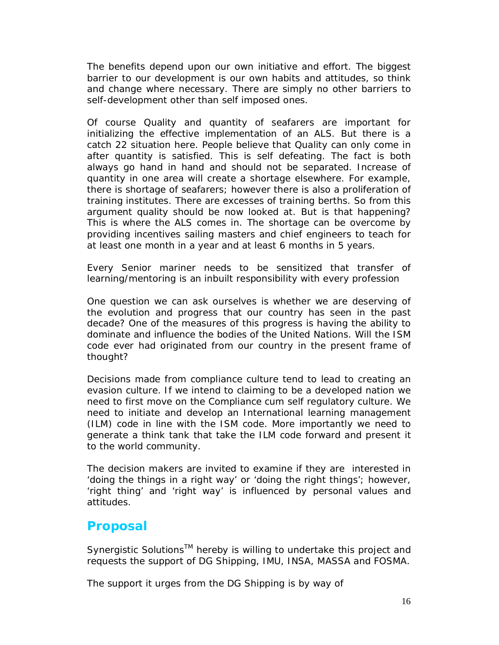The benefits depend upon our own initiative and effort. The biggest barrier to our development is our own habits and attitudes, so think and change where necessary. There are simply no other barriers to self-development other than self imposed ones.

Of course Quality and quantity of seafarers are important for initializing the effective implementation of an ALS. But there is a catch 22 situation here. People believe that Quality can only come in after quantity is satisfied. This is self defeating. The fact is both always go hand in hand and should not be separated. Increase of quantity in one area will create a shortage elsewhere. For example, there is shortage of seafarers; however there is also a proliferation of training institutes. There are excesses of training berths. So from this argument quality should be now looked at. But is that happening? This is where the ALS comes in. The shortage can be overcome by providing incentives sailing masters and chief engineers to teach for at least one month in a year and at least 6 months in 5 years.

Every Senior mariner needs to be sensitized that transfer of learning/mentoring is an inbuilt responsibility with every profession

One question we can ask ourselves is whether we are deserving of the evolution and progress that our country has seen in the past decade? One of the measures of this progress is having the ability to dominate and influence the bodies of the United Nations. Will the ISM code ever had originated from our country in the present frame of thought?

Decisions made from compliance culture tend to lead to creating an evasion culture. If we intend to claiming to be a developed nation we need to first move on the Compliance cum self regulatory culture. We need to initiate and develop an International learning management (ILM) code in line with the ISM code. More importantly we need to generate a think tank that take the ILM code forward and present it to the world community.

The decision makers are invited to examine if they are interested in 'doing the things in a right way' or 'doing the right things'; however, 'right thing' and 'right way' is influenced by personal values and attitudes.

### **Proposal**

Synergistic Solutions<sup>™</sup> hereby is willing to undertake this project and requests the support of DG Shipping, IMU, INSA, MASSA and FOSMA.

The support it urges from the DG Shipping is by way of